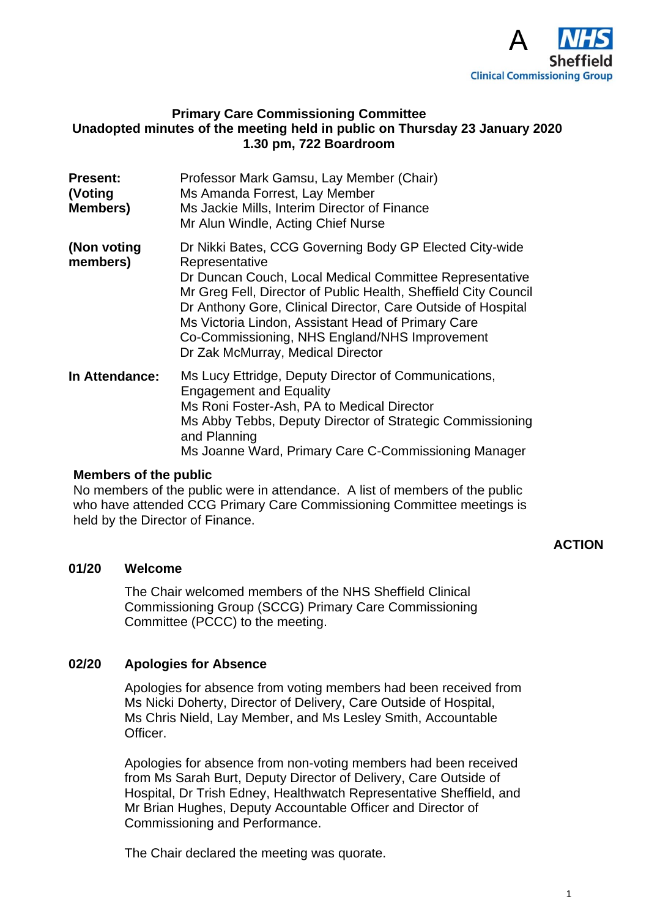

## **Primary Care Commissioning Committee Unadopted minutes of the meeting held in public on Thursday 23 January 2020 1.30 pm, 722 Boardroom**

| <b>Present:</b><br>(Voting<br><b>Members)</b> | Professor Mark Gamsu, Lay Member (Chair)<br>Ms Amanda Forrest, Lay Member<br>Ms Jackie Mills, Interim Director of Finance<br>Mr Alun Windle, Acting Chief Nurse                                                                                                                                                                                                                                                     |
|-----------------------------------------------|---------------------------------------------------------------------------------------------------------------------------------------------------------------------------------------------------------------------------------------------------------------------------------------------------------------------------------------------------------------------------------------------------------------------|
| (Non voting<br>members)                       | Dr Nikki Bates, CCG Governing Body GP Elected City-wide<br>Representative<br>Dr Duncan Couch, Local Medical Committee Representative<br>Mr Greg Fell, Director of Public Health, Sheffield City Council<br>Dr Anthony Gore, Clinical Director, Care Outside of Hospital<br>Ms Victoria Lindon, Assistant Head of Primary Care<br>Co-Commissioning, NHS England/NHS Improvement<br>Dr Zak McMurray, Medical Director |
| <b>In Attendance:</b>                         | Ms Lucy Ettridge, Deputy Director of Communications,<br><b>Engagement and Equality</b><br>Ms Roni Foster-Ash, PA to Medical Director<br>Ms Abby Tebbs, Deputy Director of Strategic Commissioning<br>and Planning<br>Ms Joanne Ward, Primary Care C-Commissioning Manager                                                                                                                                           |

#### **Members of the public**

No members of the public were in attendance. A list of members of the public who have attended CCG Primary Care Commissioning Committee meetings is held by the Director of Finance.

### **ACTION**

## **01/20 Welcome**

The Chair welcomed members of the NHS Sheffield Clinical Commissioning Group (SCCG) Primary Care Commissioning Committee (PCCC) to the meeting.

#### **02/20 Apologies for Absence**

Apologies for absence from voting members had been received from Ms Nicki Doherty, Director of Delivery, Care Outside of Hospital, Ms Chris Nield, Lay Member, and Ms Lesley Smith, Accountable Officer.

Apologies for absence from non-voting members had been received from Ms Sarah Burt, Deputy Director of Delivery, Care Outside of Hospital, Dr Trish Edney, Healthwatch Representative Sheffield, and Mr Brian Hughes, Deputy Accountable Officer and Director of Commissioning and Performance.

The Chair declared the meeting was quorate.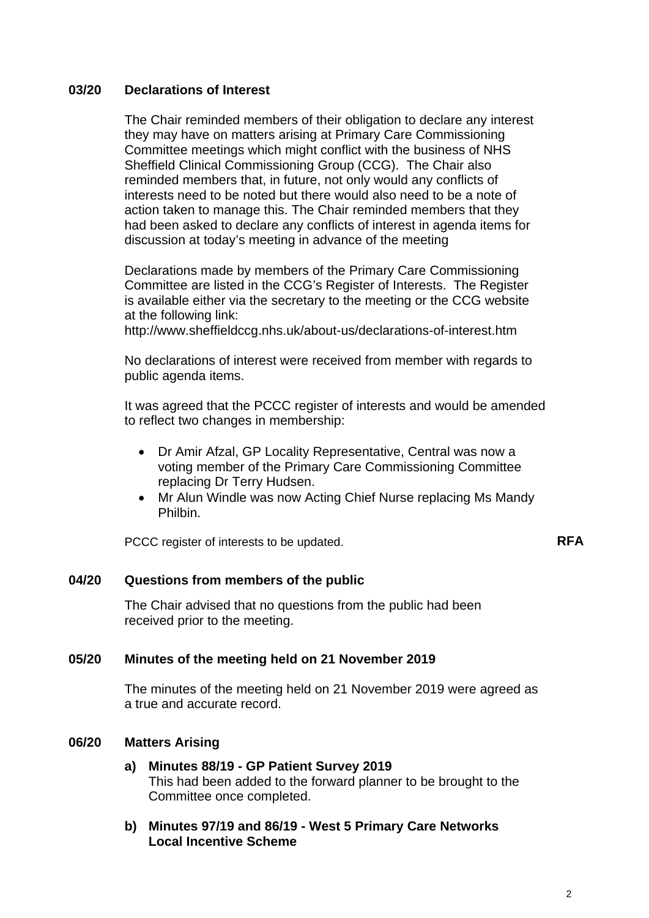## **03/20 Declarations of Interest**

The Chair reminded members of their obligation to declare any interest they may have on matters arising at Primary Care Commissioning Committee meetings which might conflict with the business of NHS Sheffield Clinical Commissioning Group (CCG). The Chair also reminded members that, in future, not only would any conflicts of interests need to be noted but there would also need to be a note of action taken to manage this. The Chair reminded members that they had been asked to declare any conflicts of interest in agenda items for discussion at today's meeting in advance of the meeting

Declarations made by members of the Primary Care Commissioning Committee are listed in the CCG's Register of Interests. The Register is available either via the secretary to the meeting or the CCG website at the following link:

http://www.sheffieldccg.nhs.uk/about-us/declarations-of-interest.htm

No declarations of interest were received from member with regards to public agenda items.

It was agreed that the PCCC register of interests and would be amended to reflect two changes in membership:

- Dr Amir Afzal, GP Locality Representative, Central was now a voting member of the Primary Care Commissioning Committee replacing Dr Terry Hudsen.
- Mr Alun Windle was now Acting Chief Nurse replacing Ms Mandy Philbin.

PCCC register of interests to be updated. **RFA** 

## **04/20 Questions from members of the public**

The Chair advised that no questions from the public had been received prior to the meeting.

#### **05/20 Minutes of the meeting held on 21 November 2019**

The minutes of the meeting held on 21 November 2019 were agreed as a true and accurate record.

# **06/20 Matters Arising**

- **a) Minutes 88/19 GP Patient Survey 2019** This had been added to the forward planner to be brought to the Committee once completed.
- **b) Minutes 97/19 and 86/19 West 5 Primary Care Networks Local Incentive Scheme**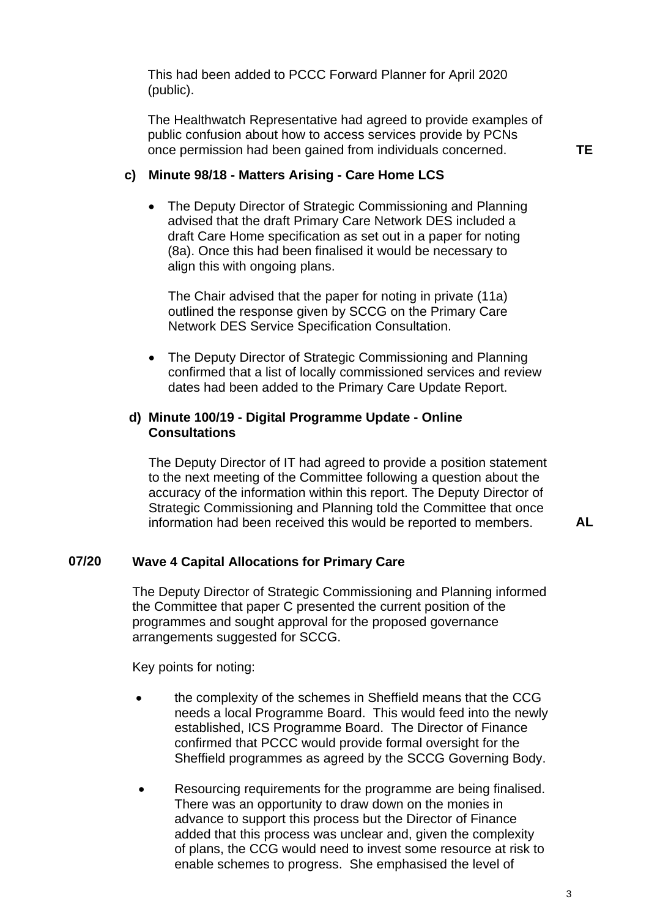This had been added to PCCC Forward Planner for April 2020 (public).

The Healthwatch Representative had agreed to provide examples of public confusion about how to access services provide by PCNs once permission had been gained from individuals concerned.

#### **c) Minute 98/18 - Matters Arising - Care Home LCS**

• The Deputy Director of Strategic Commissioning and Planning advised that the draft Primary Care Network DES included a draft Care Home specification as set out in a paper for noting (8a). Once this had been finalised it would be necessary to align this with ongoing plans.

The Chair advised that the paper for noting in private (11a) outlined the response given by SCCG on the Primary Care Network DES Service Specification Consultation.

• The Deputy Director of Strategic Commissioning and Planning confirmed that a list of locally commissioned services and review dates had been added to the Primary Care Update Report.

### **d) Minute 100/19 - Digital Programme Update - Online Consultations**

The Deputy Director of IT had agreed to provide a position statement to the next meeting of the Committee following a question about the accuracy of the information within this report. The Deputy Director of Strategic Commissioning and Planning told the Committee that once information had been received this would be reported to members.

**AL** 

### **07/20 Wave 4 Capital Allocations for Primary Care**

The Deputy Director of Strategic Commissioning and Planning informed the Committee that paper C presented the current position of the programmes and sought approval for the proposed governance arrangements suggested for SCCG.

Key points for noting:

- the complexity of the schemes in Sheffield means that the CCG needs a local Programme Board. This would feed into the newly established, ICS Programme Board. The Director of Finance confirmed that PCCC would provide formal oversight for the Sheffield programmes as agreed by the SCCG Governing Body.
- Resourcing requirements for the programme are being finalised. There was an opportunity to draw down on the monies in advance to support this process but the Director of Finance added that this process was unclear and, given the complexity of plans, the CCG would need to invest some resource at risk to enable schemes to progress. She emphasised the level of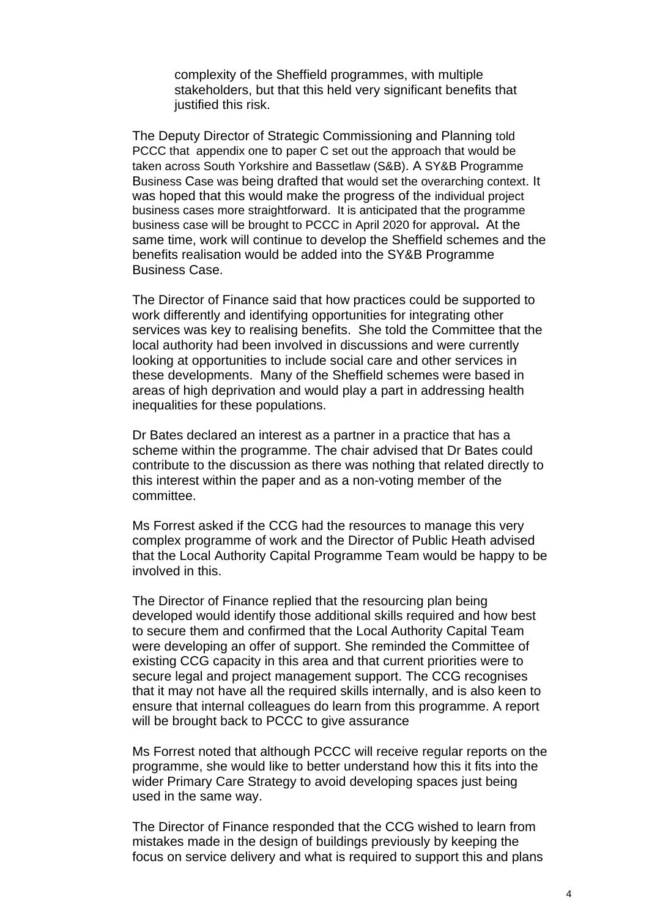complexity of the Sheffield programmes, with multiple stakeholders, but that this held very significant benefits that justified this risk.

The Deputy Director of Strategic Commissioning and Planning told PCCC that appendix one to paper C set out the approach that would be taken across South Yorkshire and Bassetlaw (S&B). A SY&B Programme Business Case was being drafted that would set the overarching context. It was hoped that this would make the progress of the individual project business cases more straightforward. It is anticipated that the programme business case will be brought to PCCC in April 2020 for approval**.** At the same time, work will continue to develop the Sheffield schemes and the benefits realisation would be added into the SY&B Programme Business Case.

The Director of Finance said that how practices could be supported to work differently and identifying opportunities for integrating other services was key to realising benefits. She told the Committee that the local authority had been involved in discussions and were currently looking at opportunities to include social care and other services in these developments. Many of the Sheffield schemes were based in areas of high deprivation and would play a part in addressing health inequalities for these populations.

Dr Bates declared an interest as a partner in a practice that has a scheme within the programme. The chair advised that Dr Bates could contribute to the discussion as there was nothing that related directly to this interest within the paper and as a non-voting member of the committee.

Ms Forrest asked if the CCG had the resources to manage this very complex programme of work and the Director of Public Heath advised that the Local Authority Capital Programme Team would be happy to be involved in this.

The Director of Finance replied that the resourcing plan being developed would identify those additional skills required and how best to secure them and confirmed that the Local Authority Capital Team were developing an offer of support. She reminded the Committee of existing CCG capacity in this area and that current priorities were to secure legal and project management support. The CCG recognises that it may not have all the required skills internally, and is also keen to ensure that internal colleagues do learn from this programme. A report will be brought back to PCCC to give assurance

Ms Forrest noted that although PCCC will receive regular reports on the programme, she would like to better understand how this it fits into the wider Primary Care Strategy to avoid developing spaces just being used in the same way.

The Director of Finance responded that the CCG wished to learn from mistakes made in the design of buildings previously by keeping the focus on service delivery and what is required to support this and plans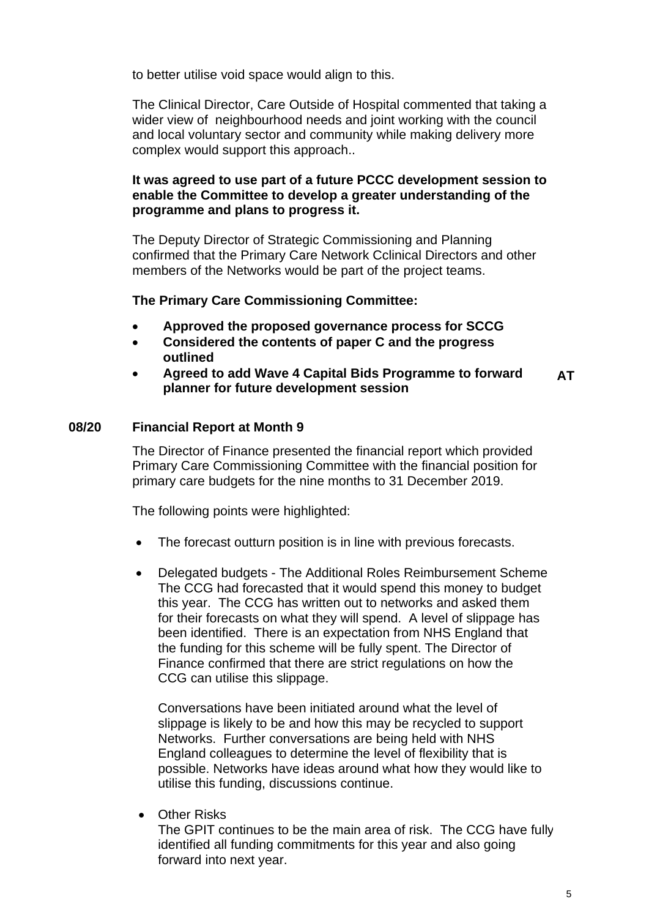to better utilise void space would align to this.

The Clinical Director, Care Outside of Hospital commented that taking a wider view of neighbourhood needs and joint working with the council and local voluntary sector and community while making delivery more complex would support this approach..

# **It was agreed to use part of a future PCCC development session to enable the Committee to develop a greater understanding of the programme and plans to progress it.**

The Deputy Director of Strategic Commissioning and Planning confirmed that the Primary Care Network Cclinical Directors and other members of the Networks would be part of the project teams.

## **The Primary Care Commissioning Committee:**

- **Approved the proposed governance process for SCCG**
- **Considered the contents of paper C and the progress outlined**
- **Agreed to add Wave 4 Capital Bids Programme to forward planner for future development session AT**

### **08/20 Financial Report at Month 9**

The Director of Finance presented the financial report which provided Primary Care Commissioning Committee with the financial position for primary care budgets for the nine months to 31 December 2019.

The following points were highlighted:

- The forecast outturn position is in line with previous forecasts.
- Delegated budgets The Additional Roles Reimbursement Scheme The CCG had forecasted that it would spend this money to budget this year. The CCG has written out to networks and asked them for their forecasts on what they will spend. A level of slippage has been identified. There is an expectation from NHS England that the funding for this scheme will be fully spent. The Director of Finance confirmed that there are strict regulations on how the CCG can utilise this slippage.

Conversations have been initiated around what the level of slippage is likely to be and how this may be recycled to support Networks. Further conversations are being held with NHS England colleagues to determine the level of flexibility that is possible. Networks have ideas around what how they would like to utilise this funding, discussions continue.

**•** Other Risks

The GPIT continues to be the main area of risk. The CCG have fully identified all funding commitments for this year and also going forward into next year.